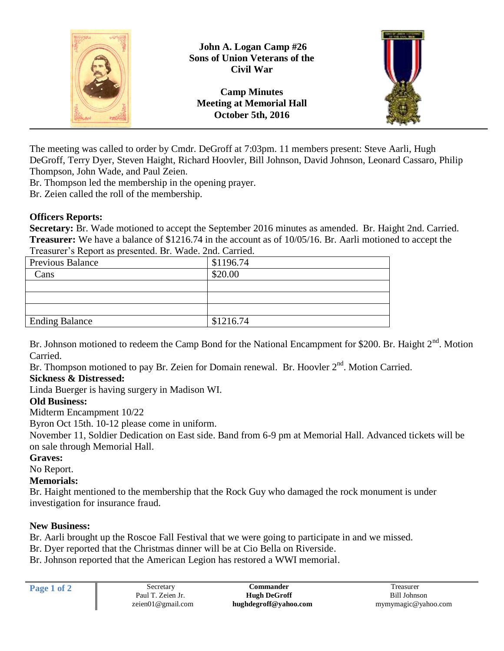

The meeting was called to order by Cmdr. DeGroff at 7:03pm. 11 members present: Steve Aarli, Hugh DeGroff, Terry Dyer, Steven Haight, Richard Hoovler, Bill Johnson, David Johnson, Leonard Cassaro, Philip Thompson, John Wade, and Paul Zeien.

Br. Thompson led the membership in the opening prayer.

Br. Zeien called the roll of the membership.

## **Officers Reports:**

**Secretary:** Br. Wade motioned to accept the September 2016 minutes as amended. Br. Haight 2nd. Carried. **Treasurer:** We have a balance of \$1216.74 in the account as of 10/05/16. Br. Aarli motioned to accept the Treasurer's Report as presented. Br. Wade. 2nd. Carried.

| Treasurer streport as presented. Dr. Wadel made Carrical |           |  |
|----------------------------------------------------------|-----------|--|
| <b>Previous Balance</b>                                  | \$1196.74 |  |
| Cans                                                     | \$20.00   |  |
|                                                          |           |  |
|                                                          |           |  |
|                                                          |           |  |
| <b>Ending Balance</b>                                    | \$1216.74 |  |

Br. Johnson motioned to redeem the Camp Bond for the National Encampment for \$200. Br. Haight  $2<sup>nd</sup>$ . Motion Carried.

Br. Thompson motioned to pay Br. Zeien for Domain renewal. Br. Hoovler 2<sup>nd</sup>. Motion Carried.

## **Sickness & Distressed:**

Linda Buerger is having surgery in Madison WI.

## **Old Business:**

Midterm Encampment 10/22

Byron Oct 15th. 10-12 please come in uniform.

November 11, Soldier Dedication on East side. Band from 6-9 pm at Memorial Hall. Advanced tickets will be on sale through Memorial Hall.

## **Graves:**

No Report.

## **Memorials:**

Br. Haight mentioned to the membership that the Rock Guy who damaged the rock monument is under investigation for insurance fraud.

## **New Business:**

Br. Aarli brought up the Roscoe Fall Festival that we were going to participate in and we missed.

Br. Dyer reported that the Christmas dinner will be at Cio Bella on Riverside.

Br. Johnson reported that the American Legion has restored a WWI memorial.

| Page 1 of 2 | Secretary         | <b>:ommander</b>      | reasurer            |
|-------------|-------------------|-----------------------|---------------------|
|             | Paul T. Zeien Jr. | <b>Hugh DeGroff</b>   | Bill Johnson        |
|             | zeien01@gmail.com | hughdegroff@yahoo.com | mymymagic@yahoo.com |